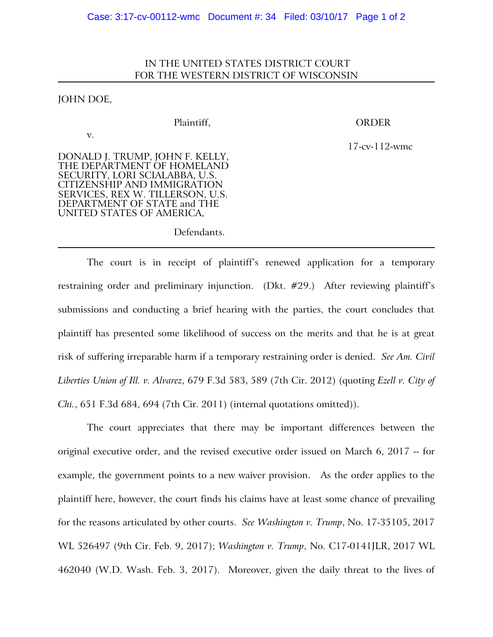## IN THE UNITED STATES DISTRICT COURT FOR THE WESTERN DISTRICT OF WISCONSIN

## JOHN DOE,

v.

Plaintiff, ORDER

17-cv-112-wmc

DONALD J. TRUMP, JOHN F. KELLY, THE DEPARTMENT OF HOMELAND SECURITY, LORI SCIALABBA, U.S. CITIZENSHIP AND IMMIGRATION SERVICES, REX W. TILLERSON, U.S. DEPARTMENT OF STATE and THE UNITED STATES OF AMERICA,

Defendants.

The court is in receipt of plaintiff's renewed application for a temporary restraining order and preliminary injunction. (Dkt. #29.) After reviewing plaintiff's submissions and conducting a brief hearing with the parties, the court concludes that plaintiff has presented some likelihood of success on the merits and that he is at great risk of suffering irreparable harm if a temporary restraining order is denied. *See Am. Civil Liberties Union of Ill. v. Alvarez*, 679 F.3d 583, 589 (7th Cir. 2012) (quoting *Ezell v. City of Chi.*, 651 F.3d 684, 694 (7th Cir. 2011) (internal quotations omitted)).

The court appreciates that there may be important differences between the original executive order, and the revised executive order issued on March 6, 2017 -- for example, the government points to a new waiver provision. As the order applies to the plaintiff here, however, the court finds his claims have at least some chance of prevailing for the reasons articulated by other courts. *See Washington v. Trump*, No. 17-35105, 2017 WL 526497 (9th Cir. Feb. 9, 2017); *Washington v. Trump*, No. C17-0141JLR, 2017 WL 462040 (W.D. Wash. Feb. 3, 2017). Moreover, given the daily threat to the lives of